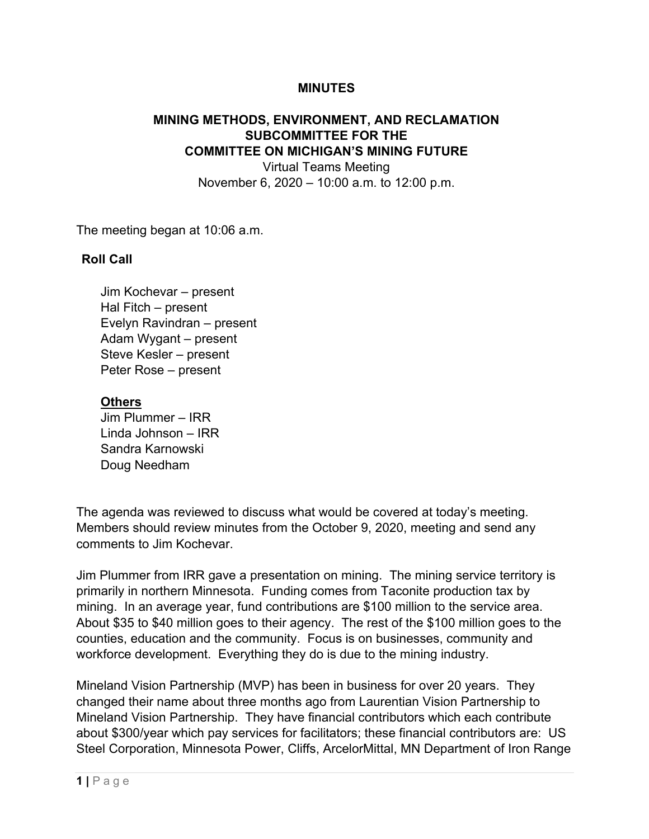## **MINUTES**

## **MINING METHODS, ENVIRONMENT, AND RECLAMATION SUBCOMMITTEE FOR THE COMMITTEE ON MICHIGAN'S MINING FUTURE**

Virtual Teams Meeting November 6, 2020 – 10:00 a.m. to 12:00 p.m.

The meeting began at 10:06 a.m.

## **Roll Call**

Jim Kochevar – present Hal Fitch – present Evelyn Ravindran – present Adam Wygant – present Steve Kesler – present Peter Rose – present

## **Others**

Jim Plummer – IRR Linda Johnson – IRR Sandra Karnowski Doug Needham

The agenda was reviewed to discuss what would be covered at today's meeting. Members should review minutes from the October 9, 2020, meeting and send any comments to Jim Kochevar.

Jim Plummer from IRR gave a presentation on mining. The mining service territory is primarily in northern Minnesota. Funding comes from Taconite production tax by mining. In an average year, fund contributions are \$100 million to the service area. About \$35 to \$40 million goes to their agency. The rest of the \$100 million goes to the counties, education and the community. Focus is on businesses, community and workforce development. Everything they do is due to the mining industry.

Mineland Vision Partnership (MVP) has been in business for over 20 years. They changed their name about three months ago from Laurentian Vision Partnership to Mineland Vision Partnership. They have financial contributors which each contribute about \$300/year which pay services for facilitators; these financial contributors are: US Steel Corporation, Minnesota Power, Cliffs, ArcelorMittal, MN Department of Iron Range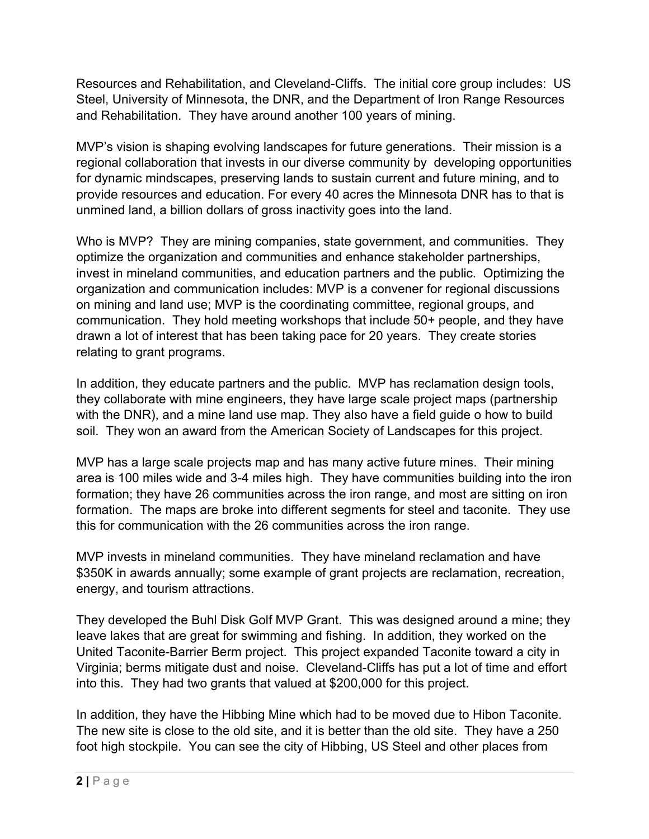Resources and Rehabilitation, and Cleveland-Cliffs. The initial core group includes: US Steel, University of Minnesota, the DNR, and the Department of Iron Range Resources and Rehabilitation. They have around another 100 years of mining.

MVP's vision is shaping evolving landscapes for future generations. Their mission is a regional collaboration that invests in our diverse community by developing opportunities for dynamic mindscapes, preserving lands to sustain current and future mining, and to provide resources and education. For every 40 acres the Minnesota DNR has to that is unmined land, a billion dollars of gross inactivity goes into the land.

Who is MVP? They are mining companies, state government, and communities. They optimize the organization and communities and enhance stakeholder partnerships, invest in mineland communities, and education partners and the public. Optimizing the organization and communication includes: MVP is a convener for regional discussions on mining and land use; MVP is the coordinating committee, regional groups, and communication. They hold meeting workshops that include 50+ people, and they have drawn a lot of interest that has been taking pace for 20 years. They create stories relating to grant programs.

In addition, they educate partners and the public. MVP has reclamation design tools, they collaborate with mine engineers, they have large scale project maps (partnership with the DNR), and a mine land use map. They also have a field guide o how to build soil. They won an award from the American Society of Landscapes for this project.

MVP has a large scale projects map and has many active future mines. Their mining area is 100 miles wide and 3-4 miles high. They have communities building into the iron formation; they have 26 communities across the iron range, and most are sitting on iron formation. The maps are broke into different segments for steel and taconite. They use this for communication with the 26 communities across the iron range.

MVP invests in mineland communities. They have mineland reclamation and have \$350K in awards annually; some example of grant projects are reclamation, recreation, energy, and tourism attractions.

They developed the Buhl Disk Golf MVP Grant. This was designed around a mine; they leave lakes that are great for swimming and fishing. In addition, they worked on the United Taconite-Barrier Berm project. This project expanded Taconite toward a city in Virginia; berms mitigate dust and noise. Cleveland-Cliffs has put a lot of time and effort into this. They had two grants that valued at \$200,000 for this project.

In addition, they have the Hibbing Mine which had to be moved due to Hibon Taconite. The new site is close to the old site, and it is better than the old site. They have a 250 foot high stockpile. You can see the city of Hibbing, US Steel and other places from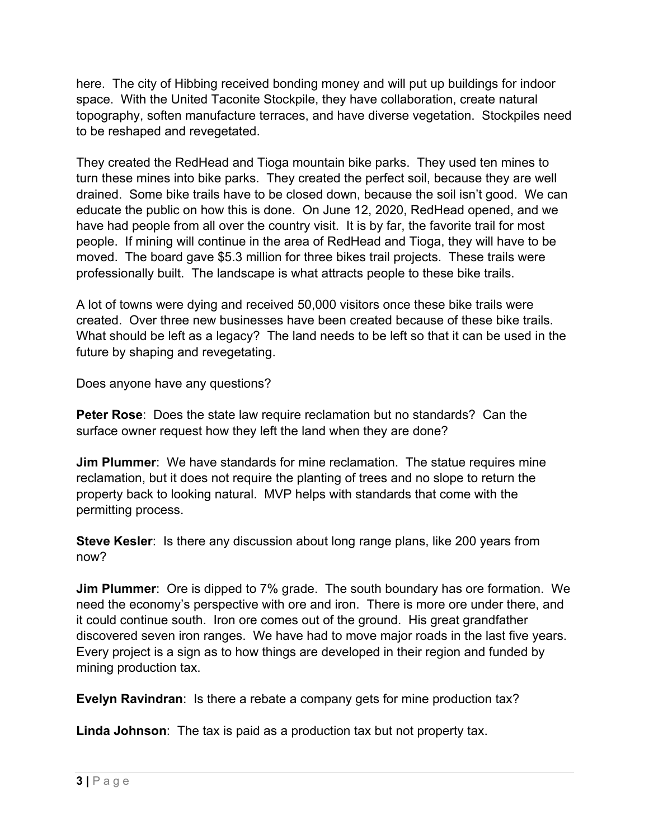here. The city of Hibbing received bonding money and will put up buildings for indoor space. With the United Taconite Stockpile, they have collaboration, create natural topography, soften manufacture terraces, and have diverse vegetation. Stockpiles need to be reshaped and revegetated.

They created the RedHead and Tioga mountain bike parks. They used ten mines to turn these mines into bike parks. They created the perfect soil, because they are well drained. Some bike trails have to be closed down, because the soil isn't good. We can educate the public on how this is done. On June 12, 2020, RedHead opened, and we have had people from all over the country visit. It is by far, the favorite trail for most people. If mining will continue in the area of RedHead and Tioga, they will have to be moved. The board gave \$5.3 million for three bikes trail projects. These trails were professionally built. The landscape is what attracts people to these bike trails.

A lot of towns were dying and received 50,000 visitors once these bike trails were created. Over three new businesses have been created because of these bike trails. What should be left as a legacy? The land needs to be left so that it can be used in the future by shaping and revegetating.

Does anyone have any questions?

**Peter Rose**: Does the state law require reclamation but no standards? Can the surface owner request how they left the land when they are done?

**Jim Plummer**: We have standards for mine reclamation. The statue requires mine reclamation, but it does not require the planting of trees and no slope to return the property back to looking natural. MVP helps with standards that come with the permitting process.

**Steve Kesler**: Is there any discussion about long range plans, like 200 years from now?

**Jim Plummer**: Ore is dipped to 7% grade. The south boundary has ore formation. We need the economy's perspective with ore and iron. There is more ore under there, and it could continue south. Iron ore comes out of the ground. His great grandfather discovered seven iron ranges. We have had to move major roads in the last five years. Every project is a sign as to how things are developed in their region and funded by mining production tax.

**Evelyn Ravindran**: Is there a rebate a company gets for mine production tax?

**Linda Johnson**: The tax is paid as a production tax but not property tax.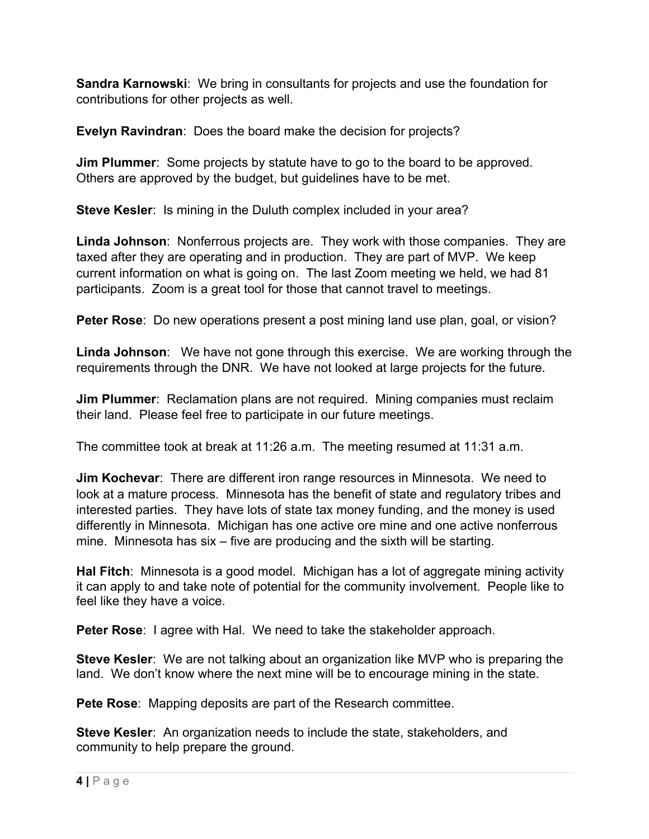**Sandra Karnowski**: We bring in consultants for projects and use the foundation for contributions for other projects as well.

**Evelyn Ravindran**: Does the board make the decision for projects?

**Jim Plummer:** Some projects by statute have to go to the board to be approved. Others are approved by the budget, but guidelines have to be met.

**Steve Kesler**: Is mining in the Duluth complex included in your area?

**Linda Johnson**: Nonferrous projects are. They work with those companies. They are taxed after they are operating and in production. They are part of MVP. We keep current information on what is going on. The last Zoom meeting we held, we had 81 participants. Zoom is a great tool for those that cannot travel to meetings.

**Peter Rose:** Do new operations present a post mining land use plan, goal, or vision?

**Linda Johnson**: We have not gone through this exercise. We are working through the requirements through the DNR. We have not looked at large projects for the future.

**Jim Plummer:** Reclamation plans are not required. Mining companies must reclaim their land. Please feel free to participate in our future meetings.

The committee took at break at 11:26 a.m. The meeting resumed at 11:31 a.m.

**Jim Kochevar**: There are different iron range resources in Minnesota. We need to look at a mature process. Minnesota has the benefit of state and regulatory tribes and interested parties. They have lots of state tax money funding, and the money is used differently in Minnesota. Michigan has one active ore mine and one active nonferrous mine. Minnesota has six – five are producing and the sixth will be starting.

**Hal Fitch**: Minnesota is a good model. Michigan has a lot of aggregate mining activity it can apply to and take note of potential for the community involvement. People like to feel like they have a voice.

**Peter Rose**: I agree with Hal. We need to take the stakeholder approach.

**Steve Kesler**: We are not talking about an organization like MVP who is preparing the land. We don't know where the next mine will be to encourage mining in the state.

**Pete Rose**: Mapping deposits are part of the Research committee.

**Steve Kesler**: An organization needs to include the state, stakeholders, and community to help prepare the ground.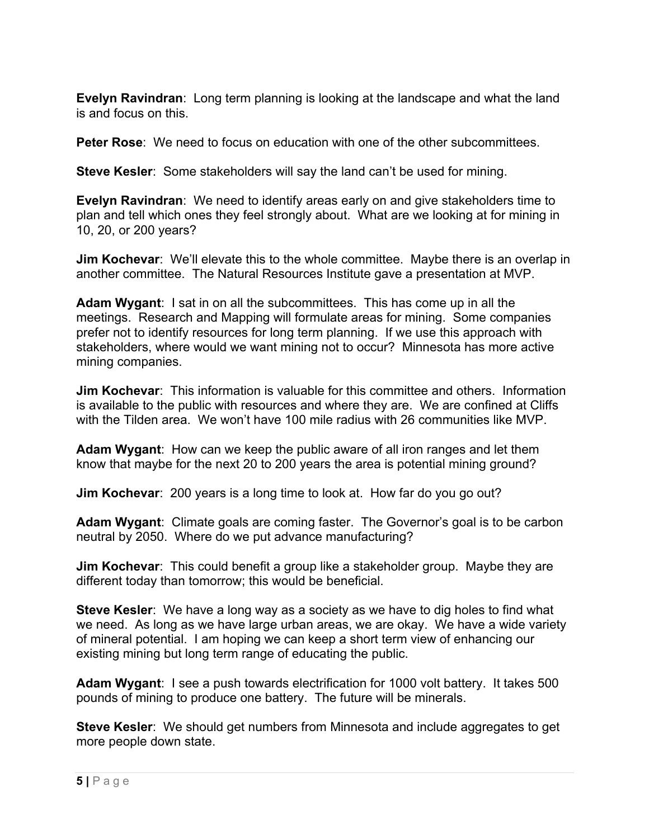**Evelyn Ravindran**: Long term planning is looking at the landscape and what the land is and focus on this.

**Peter Rose**: We need to focus on education with one of the other subcommittees.

**Steve Kesler**: Some stakeholders will say the land can't be used for mining.

**Evelyn Ravindran**: We need to identify areas early on and give stakeholders time to plan and tell which ones they feel strongly about. What are we looking at for mining in 10, 20, or 200 years?

**Jim Kochevar**: We'll elevate this to the whole committee. Maybe there is an overlap in another committee. The Natural Resources Institute gave a presentation at MVP.

**Adam Wygant**: I sat in on all the subcommittees. This has come up in all the meetings. Research and Mapping will formulate areas for mining. Some companies prefer not to identify resources for long term planning. If we use this approach with stakeholders, where would we want mining not to occur? Minnesota has more active mining companies.

**Jim Kochevar**: This information is valuable for this committee and others. Information is available to the public with resources and where they are. We are confined at Cliffs with the Tilden area. We won't have 100 mile radius with 26 communities like MVP.

**Adam Wygant**: How can we keep the public aware of all iron ranges and let them know that maybe for the next 20 to 200 years the area is potential mining ground?

**Jim Kochevar**: 200 years is a long time to look at. How far do you go out?

**Adam Wygant**: Climate goals are coming faster. The Governor's goal is to be carbon neutral by 2050. Where do we put advance manufacturing?

**Jim Kochevar**: This could benefit a group like a stakeholder group. Maybe they are different today than tomorrow; this would be beneficial.

**Steve Kesler**: We have a long way as a society as we have to dig holes to find what we need. As long as we have large urban areas, we are okay. We have a wide variety of mineral potential. I am hoping we can keep a short term view of enhancing our existing mining but long term range of educating the public.

**Adam Wygant**: I see a push towards electrification for 1000 volt battery. It takes 500 pounds of mining to produce one battery. The future will be minerals.

**Steve Kesler**: We should get numbers from Minnesota and include aggregates to get more people down state.